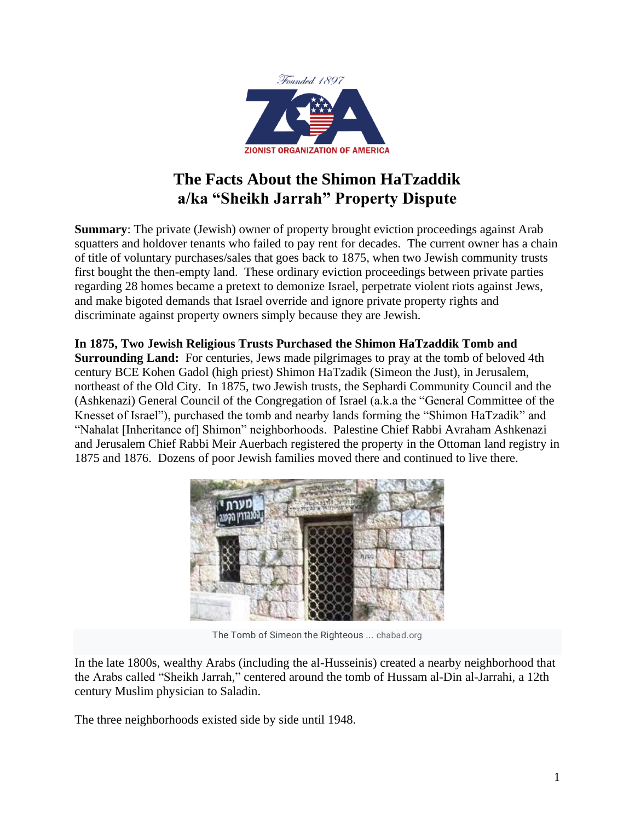

## **The Facts About the Shimon HaTzaddik a/ka "Sheikh Jarrah" Property Dispute**

**Summary**: The private (Jewish) owner of property brought eviction proceedings against Arab squatters and holdover tenants who failed to pay rent for decades. The current owner has a chain of title of voluntary purchases/sales that goes back to 1875, when two Jewish community trusts first bought the then-empty land. These ordinary eviction proceedings between private parties regarding 28 homes became a pretext to demonize Israel, perpetrate violent riots against Jews, and make bigoted demands that Israel override and ignore private property rights and discriminate against property owners simply because they are Jewish.

**In 1875, Two Jewish Religious Trusts Purchased the Shimon HaTzaddik Tomb and Surrounding Land:** For centuries, Jews made pilgrimages to pray at the tomb of beloved 4th century BCE Kohen Gadol (high priest) Shimon HaTzadik (Simeon the Just), in Jerusalem, northeast of the Old City. In 1875, two Jewish trusts, the Sephardi Community Council and the (Ashkenazi) General Council of the Congregation of Israel (a.k.a the "General Committee of the Knesset of Israel"), purchased the tomb and nearby lands forming the "Shimon HaTzadik" and "Nahalat [Inheritance of] Shimon" neighborhoods. Palestine Chief Rabbi Avraham Ashkenazi and Jerusalem Chief Rabbi Meir Auerbach registered the property in the Ottoman land registry in 1875 and 1876. Dozens of poor Jewish families moved there and continued to live there.



[The Tomb of Simeon the Righteous ...](https://www.chabad.org/multimedia/video_cdo/aid/2904193/jewish/The-Tomb-of-Simeon-the-Righteous.htm) chabad.or[g](https://www.chabad.org/multimedia/video_cdo/aid/2904193/jewish/The-Tomb-of-Simeon-the-Righteous.htm)

In the late 1800s, wealthy Arabs (including the al-Husseinis) created a nearby neighborhood that the Arabs called "Sheikh Jarrah," centered around the tomb of Hussam al-Din al-Jarrahi, a 12th century Muslim physician to Saladin.

The three neighborhoods existed side by side until 1948.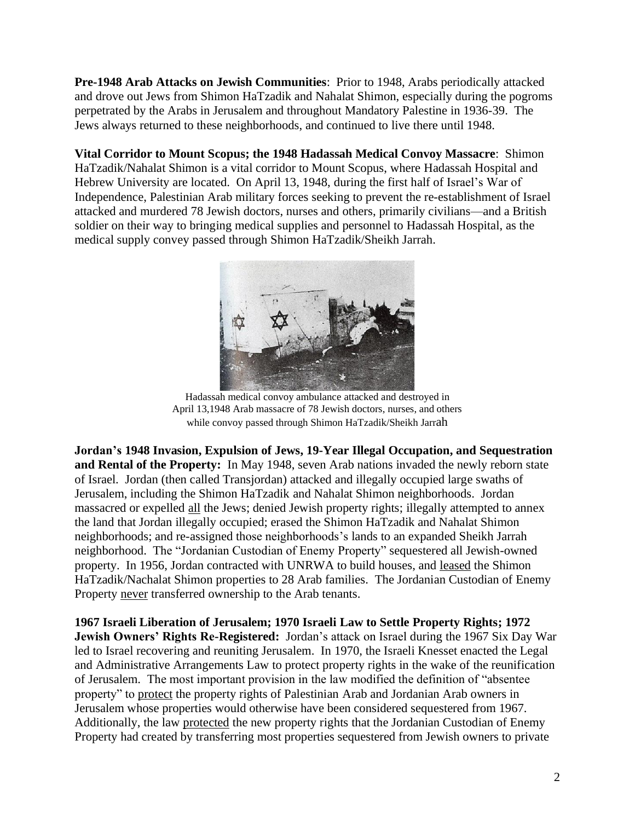**Pre-1948 Arab Attacks on Jewish Communities**: Prior to 1948, Arabs periodically attacked and drove out Jews from Shimon HaTzadik and Nahalat Shimon, especially during the pogroms perpetrated by the Arabs in Jerusalem and throughout Mandatory Palestine in 1936-39. The Jews always returned to these neighborhoods, and continued to live there until 1948.

**Vital Corridor to Mount Scopus; the 1948 Hadassah Medical Convoy Massacre**: Shimon HaTzadik/Nahalat Shimon is a vital corridor to Mount Scopus, where Hadassah Hospital and Hebrew University are located. On April 13, 1948, during the first half of Israel's War of Independence, Palestinian Arab military forces seeking to prevent the re-establishment of Israel attacked and murdered 78 Jewish doctors, nurses and others, primarily civilians—and a British soldier on their way to bringing medical supplies and personnel to Hadassah Hospital, as the medical supply convey passed through Shimon HaTzadik/Sheikh Jarrah.



Hadassah medical convoy ambulance attacked and destroyed in April 13,1948 Arab massacre of 78 Jewish doctors, nurses, and others while convoy passed through Shimon HaTzadik/Sheikh Jarrah

**Jordan's 1948 Invasion, Expulsion of Jews, 19-Year Illegal Occupation, and Sequestration and Rental of the Property:** In May 1948, seven Arab nations invaded the newly reborn state of Israel. Jordan (then called Transjordan) attacked and illegally occupied large swaths of Jerusalem, including the Shimon HaTzadik and Nahalat Shimon neighborhoods. Jordan massacred or expelled all the Jews; denied Jewish property rights; illegally attempted to annex the land that Jordan illegally occupied; erased the Shimon HaTzadik and Nahalat Shimon neighborhoods; and re-assigned those neighborhoods's lands to an expanded Sheikh Jarrah neighborhood. The "Jordanian Custodian of Enemy Property" sequestered all Jewish-owned property. In 1956, Jordan contracted with UNRWA to build houses, and leased the Shimon HaTzadik/Nachalat Shimon properties to 28 Arab families. The Jordanian Custodian of Enemy Property never transferred ownership to the Arab tenants.

**1967 Israeli Liberation of Jerusalem; 1970 Israeli Law to Settle Property Rights; 1972 Jewish Owners' Rights Re-Registered:** Jordan's attack on Israel during the 1967 Six Day War led to Israel recovering and reuniting Jerusalem. In 1970, the Israeli Knesset enacted the Legal and Administrative Arrangements Law to protect property rights in the wake of the reunification of Jerusalem. The most important provision in the law modified the definition of "absentee property" to protect the property rights of Palestinian Arab and Jordanian Arab owners in Jerusalem whose properties would otherwise have been considered sequestered from 1967. Additionally, the law protected the new property rights that the Jordanian Custodian of Enemy Property had created by transferring most properties sequestered from Jewish owners to private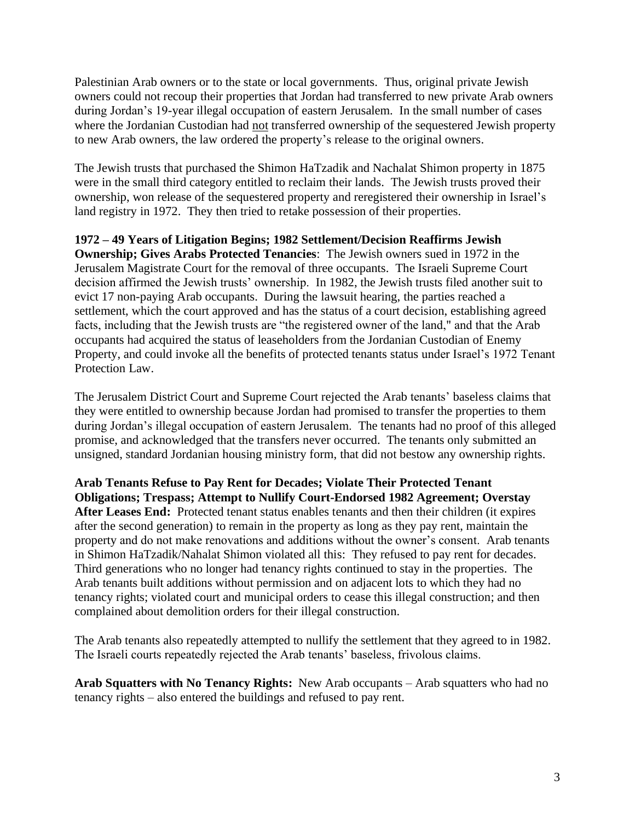Palestinian Arab owners or to the state or local governments. Thus, original private Jewish owners could not recoup their properties that Jordan had transferred to new private Arab owners during Jordan's 19-year illegal occupation of eastern Jerusalem. In the small number of cases where the Jordanian Custodian had not transferred ownership of the sequestered Jewish property to new Arab owners, the law ordered the property's release to the original owners.

The Jewish trusts that purchased the Shimon HaTzadik and Nachalat Shimon property in 1875 were in the small third category entitled to reclaim their lands. The Jewish trusts proved their ownership, won release of the sequestered property and reregistered their ownership in Israel's land registry in 1972. They then tried to retake possession of their properties.

**1972 – 49 Years of Litigation Begins; 1982 Settlement/Decision Reaffirms Jewish** 

**Ownership; Gives Arabs Protected Tenancies**: The Jewish owners sued in 1972 in the Jerusalem Magistrate Court for the removal of three occupants. The Israeli Supreme Court decision affirmed the Jewish trusts' ownership. In 1982, the Jewish trusts filed another suit to evict 17 non-paying Arab occupants. During the lawsuit hearing, the parties reached a settlement, which the court approved and has the status of a court decision, establishing agreed facts, including that the Jewish trusts are "the registered owner of the land," and that the Arab occupants had acquired the status of leaseholders from the Jordanian Custodian of Enemy Property, and could invoke all the benefits of protected tenants status under Israel's 1972 Tenant Protection Law.

The Jerusalem District Court and Supreme Court rejected the Arab tenants' baseless claims that they were entitled to ownership because Jordan had promised to transfer the properties to them during Jordan's illegal occupation of eastern Jerusalem. The tenants had no proof of this alleged promise, and acknowledged that the transfers never occurred. The tenants only submitted an unsigned, standard Jordanian housing ministry form, that did not bestow any ownership rights.

**Arab Tenants Refuse to Pay Rent for Decades; Violate Their Protected Tenant Obligations; Trespass; Attempt to Nullify Court-Endorsed 1982 Agreement; Overstay After Leases End:** Protected tenant status enables tenants and then their children (it expires after the second generation) to remain in the property as long as they pay rent, maintain the property and do not make renovations and additions without the owner's consent. Arab tenants in Shimon HaTzadik/Nahalat Shimon violated all this: They refused to pay rent for decades. Third generations who no longer had tenancy rights continued to stay in the properties. The Arab tenants built additions without permission and on adjacent lots to which they had no tenancy rights; violated court and municipal orders to cease this illegal construction; and then complained about demolition orders for their illegal construction.

The Arab tenants also repeatedly attempted to nullify the settlement that they agreed to in 1982. The Israeli courts repeatedly rejected the Arab tenants' baseless, frivolous claims.

**Arab Squatters with No Tenancy Rights:** New Arab occupants – Arab squatters who had no tenancy rights – also entered the buildings and refused to pay rent.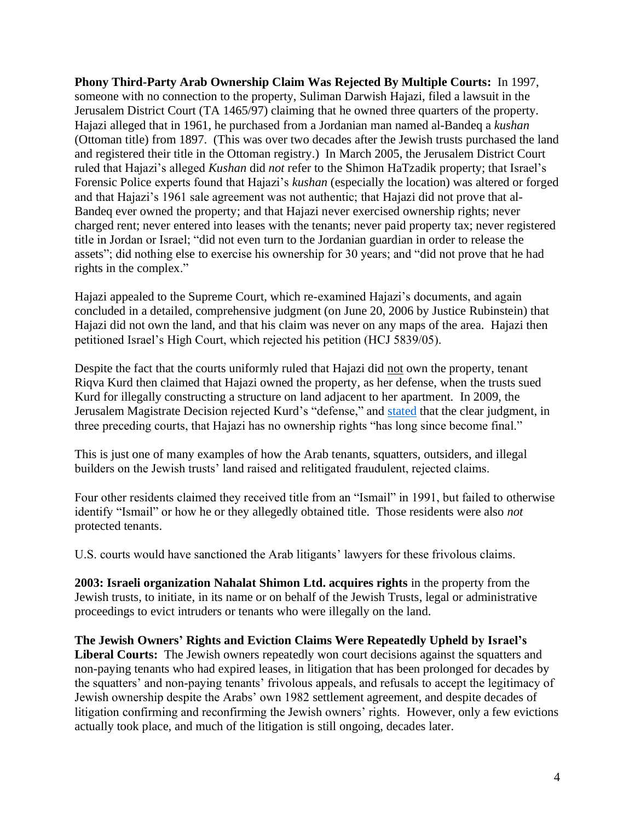**Phony Third-Party Arab Ownership Claim Was Rejected By Multiple Courts:** In 1997, someone with no connection to the property, Suliman Darwish Hajazi, filed a lawsuit in the Jerusalem District Court (TA 1465/97) claiming that he owned three quarters of the property. Hajazi alleged that in 1961, he purchased from a Jordanian man named al-Bandeq a *kushan* (Ottoman title) from 1897. (This was over two decades after the Jewish trusts purchased the land and registered their title in the Ottoman registry.) In March 2005, the Jerusalem District Court ruled that Hajazi's alleged *Kushan* did *not* refer to the Shimon HaTzadik property; that Israel's Forensic Police experts found that Hajazi's *kushan* (especially the location) was altered or forged and that Hajazi's 1961 sale agreement was not authentic; that Hajazi did not prove that al-Bandeq ever owned the property; and that Hajazi never exercised ownership rights; never charged rent; never entered into leases with the tenants; never paid property tax; never registered title in Jordan or Israel; "did not even turn to the Jordanian guardian in order to release the assets"; did nothing else to exercise his ownership for 30 years; and "did not prove that he had rights in the complex."

Hajazi appealed to the Supreme Court, which re-examined Hajazi's documents, and again concluded in a detailed, comprehensive judgment (on June 20, 2006 by Justice Rubinstein) that Hajazi did not own the land, and that his claim was never on any maps of the area. Hajazi then petitioned Israel's High Court, which rejected his petition (HCJ 5839/05).

Despite the fact that the courts uniformly ruled that Hajazi did not own the property, tenant Riqva Kurd then claimed that Hajazi owned the property, as her defense, when the trusts sued Kurd for illegally constructing a structure on land adjacent to her apartment. In 2009, the Jerusalem Magistrate Decision rejected Kurd's "defense," and [stated](http://www.law-portal.co.il/node/5292) that the clear judgment, in three preceding courts, that Hajazi has no ownership rights "has long since become final."

This is just one of many examples of how the Arab tenants, squatters, outsiders, and illegal builders on the Jewish trusts' land raised and relitigated fraudulent, rejected claims.

Four other residents claimed they received title from an "Ismail" in 1991, but failed to otherwise identify "Ismail" or how he or they allegedly obtained title. Those residents were also *not* protected tenants.

U.S. courts would have sanctioned the Arab litigants' lawyers for these frivolous claims.

**2003: Israeli organization Nahalat Shimon Ltd. acquires rights** in the property from the Jewish trusts, to initiate, in its name or on behalf of the Jewish Trusts, legal or administrative proceedings to evict intruders or tenants who were illegally on the land.

**The Jewish Owners' Rights and Eviction Claims Were Repeatedly Upheld by Israel's**  Liberal Courts: The Jewish owners repeatedly won court decisions against the squatters and non-paying tenants who had expired leases, in litigation that has been prolonged for decades by the squatters' and non-paying tenants' frivolous appeals, and refusals to accept the legitimacy of Jewish ownership despite the Arabs' own 1982 settlement agreement, and despite decades of litigation confirming and reconfirming the Jewish owners' rights. However, only a few evictions actually took place, and much of the litigation is still ongoing, decades later.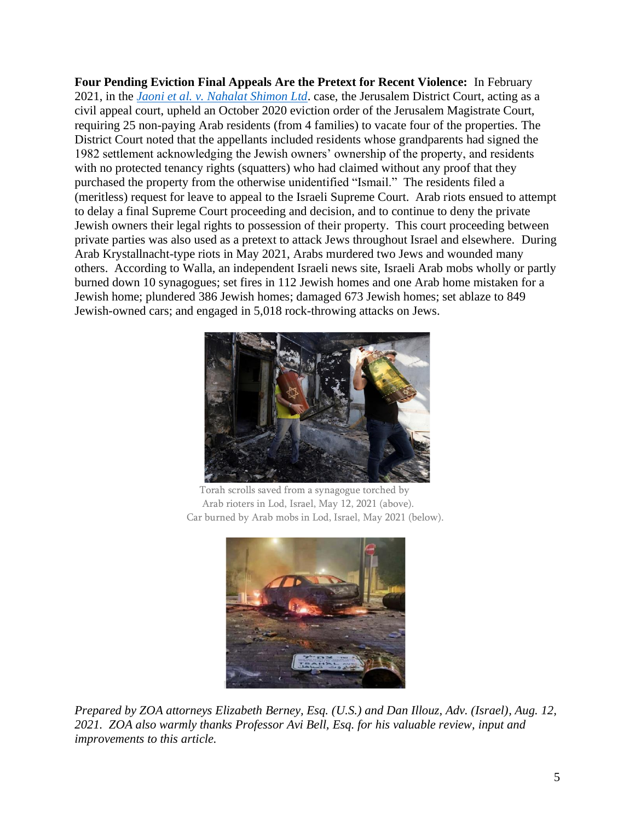**Four Pending Eviction Final Appeals Are the Pretext for Recent Violence:** In February 2021, in the *[Jaoni et al. v. Nahalat Shimon Ltd](http://peacenow.org.il/wp-content/uploads/2021/02/verdict_appeal_Sheikh_Jarrah_100221.pdf)*. case, the Jerusalem District Court, acting as a civil appeal court, upheld an October 2020 eviction order of the Jerusalem Magistrate Court, requiring 25 non-paying Arab residents (from 4 families) to vacate four of the properties. The District Court noted that the appellants included residents whose grandparents had signed the 1982 settlement acknowledging the Jewish owners' ownership of the property, and residents with no protected tenancy rights (squatters) who had claimed without any proof that they purchased the property from the otherwise unidentified "Ismail." The residents filed a (meritless) request for leave to appeal to the Israeli Supreme Court. Arab riots ensued to attempt to delay a final Supreme Court proceeding and decision, and to continue to deny the private Jewish owners their legal rights to possession of their property. This court proceeding between private parties was also used as a pretext to attack Jews throughout Israel and elsewhere. During Arab Krystallnacht-type riots in May 2021, Arabs murdered two Jews and wounded many others. According to Walla, an independent Israeli news site, Israeli Arab mobs wholly or partly burned down 10 synagogues; set fires in 112 Jewish homes and one Arab home mistaken for a Jewish home; plundered 386 Jewish homes; damaged 673 Jewish homes; set ablaze to 849 Jewish-owned cars; and engaged in 5,018 rock-throwing attacks on Jews.



 Torah scrolls saved from a synagogue torched by Arab rioters in Lod, Israel, May 12, 2021 (above). Car burned by Arab mobs in Lod, Israel, May 2021 (below).



*Prepared by ZOA attorneys Elizabeth Berney, Esq. (U.S.) and Dan Illouz, Adv. (Israel), Aug. 12, 2021. ZOA also warmly thanks Professor Avi Bell, Esq. for his valuable review, input and improvements to this article.*